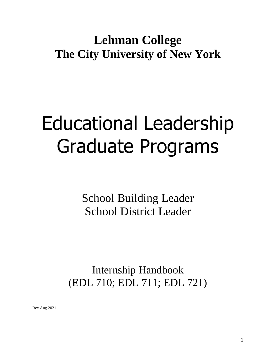# **Lehman College The City University of New York**

# Educational Leadership Graduate Programs

School Building Leader School District Leader

Internship Handbook (EDL 710; EDL 711; EDL 721)

Rev Aug 2021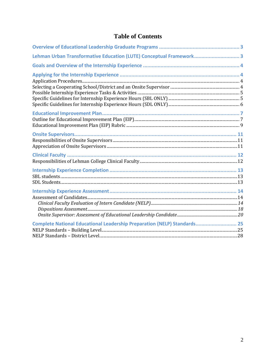# **Table of Contents**

| Lehman Urban Transformative Education (LUTE) Conceptual Framework 3      |  |
|--------------------------------------------------------------------------|--|
|                                                                          |  |
|                                                                          |  |
|                                                                          |  |
|                                                                          |  |
|                                                                          |  |
|                                                                          |  |
|                                                                          |  |
|                                                                          |  |
|                                                                          |  |
|                                                                          |  |
|                                                                          |  |
|                                                                          |  |
|                                                                          |  |
|                                                                          |  |
|                                                                          |  |
|                                                                          |  |
|                                                                          |  |
|                                                                          |  |
|                                                                          |  |
|                                                                          |  |
|                                                                          |  |
|                                                                          |  |
|                                                                          |  |
| Complete National Educational Leadership Preparation (NELP) Standards 25 |  |
|                                                                          |  |
|                                                                          |  |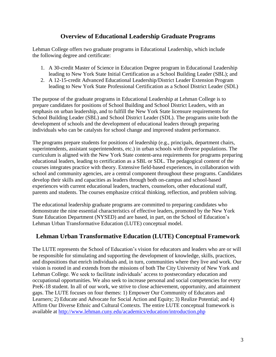# **Overview of Educational Leadership Graduate Programs**

<span id="page-2-0"></span>Lehman College offers two graduate programs in Educational Leadership, which include the following degree and certificate:

- 1. A 30-credit Master of Science in Education Degree program in Educational Leadership leading to New York State Initial Certification as a School Building Leader (SBL); and
- 2. A 12-15-credit Advanced Educational Leadership/District Leader Extension Program leading to New York State Professional Certification as a School District Leader (SDL)

The purpose of the graduate programs in Educational Leadership at Lehman College is to prepare candidates for positions of School Building and School District Leaders, with an emphasis on urban leadership, and to fulfill the New York State licensure requirements for School Building Leader (SBL) and School District Leader (SDL). The programs unite both the development of schools and the development of educational leaders through preparing individuals who can be catalysts for school change and improved student performance.

The programs prepare students for positions of leadership (e.g., principals, department chairs, superintendents, assistant superintendents, etc.) in urban schools with diverse populations. The curriculum is aligned with the New York State content-area requirements for programs preparing educational leaders, leading to certification as a SBL or SDL. The pedagogical content of the courses integrates practice with theory. Extensive field-based experiences, in collaboration with school and community agencies, are a central component throughout these programs. Candidates develop their skills and capacities as leaders through both on-campus and school-based experiences with current educational leaders, teachers, counselors, other educational staff, parents and students. The courses emphasize critical thinking, reflection, and problem solving.

The educational leadership graduate programs are committed to preparing candidates who demonstrate the nine essential characteristics of effective leaders, promoted by the New York State Education Department (NYSED) and are based, in part, on the School of Education's Lehman Urban Transformative Education (LUTE) conceptual model.

# <span id="page-2-1"></span>**Lehman Urban Transformative Education (LUTE) Conceptual Framework**

The LUTE represents the School of Education's vision for educators and leaders who are or will be responsible for stimulating and supporting the development of knowledge, skills, practices, and dispositions that enrich individuals and, in turn, communities where they live and work. Our vision is rooted in and extends from the missions of both The City University of New York and Lehman College. We seek to facilitate individuals' access to postsecondary education and occupational opportunities. We also seek to increase personal and social competencies for every PreK-18 student. In all of our work, we strive to close achievement, opportunity, and attainment gaps. The LUTE focuses on four themes: 1) Empower Our Community of Educators and Learners; 2) Educate and Advocate for Social Action and Equity; 3) Realize Potential; and 4) Affirm Our Diverse Ethnic and Cultural Contexts. The entire LUTE conceptual framework is available at<http://www.lehman.cuny.edu/academics/education/introduction.php>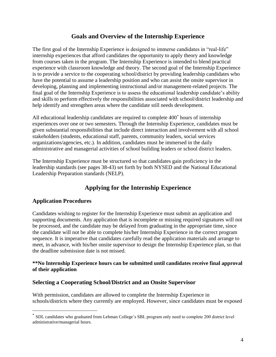# **Goals and Overview of the Internship Experience**

<span id="page-3-0"></span>The first goal of the Internship Experience is designed to immerse candidates in "real-life" internship experiences that afford candidates the opportunity to apply theory and knowledge from courses taken in the program. The Internship Experience is intended to blend practical experience with classroom knowledge and theory. The second goal of the Internship Experience is to provide a service to the cooperating school/district by providing leadership candidates who have the potential to assume a leadership position and who can assist the onsite supervisor in developing, planning and implementing instructional and/or management-related projects. The final goal of the Internship Experience is to assess the educational leadership candidate's ability and skills to perform effectively the responsibilities associated with school/district leadership and help identify and strengthen areas where the candidate still needs development.

All educational leadership candidates are required to complete 400\* hours of internship experiences over one or two semesters. Through the Internship Experience, candidates must be given substantial responsibilities that include direct interaction and involvement with all school stakeholders (students, educational staff, parents, community leaders, social services organizations/agencies, etc.). In addition, candidates must be immersed in the daily administrative and managerial activities of school building leaders or school district leaders.

The Internship Experience must be structured so that candidates gain proficiency in the leadership standards (see pages 38-43) set forth by both NYSED and the National Educational Leadership Preparation standards (NELP).

# **Applying for the Internship Experience**

#### <span id="page-3-2"></span><span id="page-3-1"></span>**Application Procedures**

 $\overline{a}$ 

Candidates wishing to register for the Internship Experience must submit an application and supporting documents. Any application that is incomplete or missing required signatures will not be processed, and the candidate may be delayed from graduating in the appropriate time, since the candidate will not be able to complete his/her Internship Experience in the correct program sequence. It is imperative that candidates carefully read the application materials and arrange to meet, in advance, with his/her onsite supervisor to design the Internship Experience plan, so that the deadline submission date is not missed.

#### **\*\*No Internship Experience hours can be submitted until candidates receive final approval of their application**

#### <span id="page-3-3"></span>**Selecting a Cooperating School/District and an Onsite Supervisor**

With permission, candidates are allowed to complete the Internship Experience in schools/districts where they currently are employed. However, since candidates must be exposed

<sup>\*</sup> SDL candidates who graduated from Lehman College's SBL program only need to complete 200 district level administrative/managerial hours.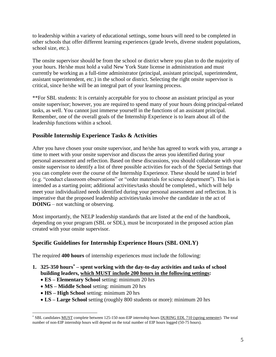to leadership within a variety of educational settings, some hours will need to be completed in other schools that offer different learning experiences (grade levels, diverse student populations, school size, etc.).

The onsite supervisor should be from the school or district where you plan to do the majority of your hours. He/she must hold a valid New York State license in administration and must currently be working as a full-time administrator (principal, assistant principal, superintendent, assistant superintendent, etc.) in the school or district. Selecting the right onsite supervisor is critical, since he/she will be an integral part of your learning process.

\*\*For SBL students: It is certainly acceptable for you to choose an assistant principal as your onsite supervisor; however, you are required to spend many of your hours doing principal-related tasks, as well. You cannot just immerse yourself in the functions of an assistant principal. Remember, one of the overall goals of the Internship Experience is to learn about all of the leadership functions within a school.

# <span id="page-4-0"></span>**Possible Internship Experience Tasks & Activities**

After you have chosen your onsite supervisor, and he/she has agreed to work with you, arrange a time to meet with your onsite supervisor and discuss the areas you identified during your personal assessment and reflection. Based on these discussions, you should collaborate with your onsite supervisor to identify a list of three possible activities for each of the Special Settings that you can complete over the course of the Internship Experience. These should be stated in brief (e.g. "conduct classroom observations" or "order materials for science department"). This list is intended as a starting point; additional activities/tasks should be completed., which will help meet your individualized needs identified during your personal assessment and reflection. It is imperative that the proposed leadership activities/tasks involve the candidate in the act of **DOING** – not watching or observing.

Most importantly, the NELP leadership standards that are listed at the end of the handbook, depending on your program (SBL or SDL), must be incorporated in the proposed action plan created with your onsite supervisor.

# <span id="page-4-1"></span>**Specific Guidelines for Internship Experience Hours (SBL ONLY)**

The required **400 hours** of internship experiences must include the following:

- **1. 325-350 hours\* – spent working with the day-to-day activities and tasks of school building leaders, which MUST include 200 hours in the following settings:**
	- **ES – Elementary School** setting: minimum 20 hrs
	- **MS – Middle School** setting: minimum 20 hrs
	- **HS – High School** setting: minimum 20 hrs

 $\overline{a}$ 

• **LS – Large School** setting (roughly 800 students or more): minimum 20 hrs

<sup>\*</sup> SBL candidates MUST complete between 125-150 non-EIP internship hours DURING EDL 710 (spring semester). The total number of non-EIP internship hours will depend on the total number of EIP hours logged (50-75 hours).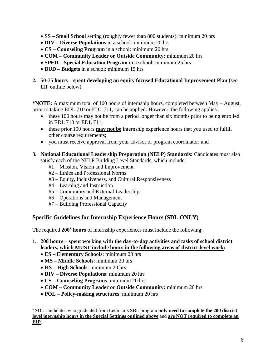- **SS – Small School** setting (roughly fewer than 800 students): minimum 20 hrs
- **DIV – Diverse Populations** in a school: minimum 20 hrs
- **CS – Counseling Program** in a school: minimum 20 hrs
- **COM – Community Leader or Outside Community:** minimum 20 hrs
- **SPED – Special Education Program** in a school: minimum 25 hrs
- **BUD – Budgets** in a school: minimum 15 hrs
- **2. 50-75 hours – spent developing an equity focused Educational Improvement Plan** (see EIP outline below)**.**

**\*NOTE:** A maximum total of 100 hours of internship hours, completed between May – August, prior to taking EDL 710 or EDL 711, can be applied. However, the following applies*:*

- these 100 hours may not be from a period longer than six months prior to being enrolled in EDL 710 or EDL 711;
- these prior 100 hours **may not be** internship experience hours that you used to fulfill other course requirements;
- you must receive approval from your advisor or program coordinator; and
- **3. National Educational Leadership Preparation (NELP) Standards:** Candidates must also satisfy each of the NELP Building Level Standards, which include:
	- #1 Mission, Vision and Improvement
	- #2 Ethics and Professional Norms
	- #3 Equity, Inclusiveness, and Cultural Responsiveness
	- #4 Learning and Instruction
	- #5 Community and External Leadership
	- #6 Operations and Management
	- #7 Building Professional Capacity

#### <span id="page-5-0"></span>**Specific Guidelines for Internship Experience Hours (SDL ONLY)**

The required **200\* hours** of internship experiences must include the following:

- **1. 200 hours – spent working with the day-to-day activities and tasks of school district leaders, which MUST include hours in the following areas of district-level work:**
	- **ES – Elementary Schools**: minimum 20 hrs
	- **MS – Middle Schools**: minimum 20 hrs
	- **HS – High Schools**: minimum 20 hrs

 $\overline{a}$ 

- **DIV – Diverse Populations**: minimum 20 hrs
- **CS – Counseling Programs**: minimum 20 hrs
- **COM – Community Leader or Outside Community:** minimum 20 hrs
- **POL – Policy-making structures**: minimum 20 hrs

<sup>\*</sup> SDL candidates who graduated from Lehman's SBL program **only need to complete the 200 district level internship hours in the Special Settings outlined above** and **are NOT required to complete an EIP**.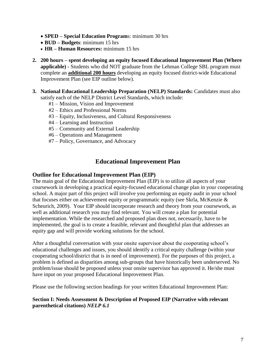- **SPED – Special Education Program**s: minimum 30 hrs
- **BUD – Budgets**: minimum 15 hrs
- **HR – Human Resources:** minimum 15 hrs
- **2. 200 hours – spent developing an equity focused Educational Improvement Plan (Where applicable) -** Students who did NOT graduate from the Lehman College SBL program must complete an **additional 200 hours** developing an equity focused district-wide Educational Improvement Plan (see EIP outline below).
- **3. National Educational Leadership Preparation (NELP) Standards:** Candidates must also satisfy each of the NELP District Level Standards, which include:
	- #1 Mission, Vision and Improvement
	- #2 Ethics and Professional Norms
	- #3 Equity, Inclusiveness, and Cultural Responsiveness
	- #4 Learning and Instruction
	- #5 Community and External Leadership
	- #6 Operations and Management
	- #7 Policy, Governance, and Advocacy

# **Educational Improvement Plan**

#### <span id="page-6-1"></span><span id="page-6-0"></span>**Outline for Educational Improvement Plan (EIP)**

The main goal of the Educational Improvement Plan (EIP) is to utilize all aspects of your coursework in developing a practical equity-focused educational change plan in your cooperating school. A major part of this project will involve you performing an equity audit in your school that focuses either on achievement equity or programmatic equity (see Skrla, McKenzie & Scheurich, 2009). Your EIP should incorporate research and theory from your coursework, as well as additional research you may find relevant. You will create a plan for potential implementation. While the researched and proposed plan does not, necessarily, have to be implemented, the goal is to create a feasible, relevant and thoughtful plan that addresses an equity gap and will provide working solutions for the school.

After a thoughtful conversation with your onsite supervisor about the cooperating school's educational challenges and issues, you should identify a critical equity challenge (within your cooperating school/district that is in need of improvement). For the purposes of this project, a problem is defined as disparities among sub-groups that have historically been underserved. No problem/issue should be proposed unless your onsite supervisor has approved it. He/she must have input on your proposed Educational Improvement Plan.

Please use the following section headings for your written Educational Improvement Plan:

#### **Section I: Needs Assessment & Description of Proposed EIP (Narrative with relevant parenthetical citations)** *NELP 6.1*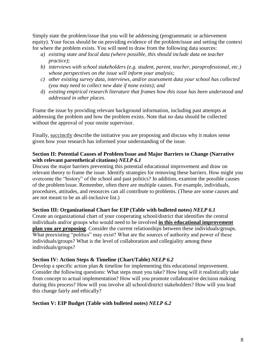Simply state the problem/issue that you will be addressing (programmatic or achievement equity). Your focus should be on providing evidence of the problem/issue and setting the context for where the problem exists. You will need to draw from the following data sources:

- *a) existing state and local data (where possible, this should include data on teacher practice);*
- *b) interviews with school stakeholders (e.g. student, parent, teacher, paraprofessional, etc.) whose perspectives on the issue will inform your analysis;*
- *c) other existing survey data, interviews, and/or assessment data your school has collected (you may need to collect new date if none exists); and*
- d) *existing empirical research literature that frames how this issue has been understood and addressed in other places.*

Frame the issue by providing relevant background information, including past attempts at addressing the problem and how the problem exists. Note that no data should be collected without the approval of your onsite supervisor.

Finally, succinctly describe the initiative you are proposing and discuss why it makes sense given how your research has informed your understanding of the issue.

#### **Section II: Potential Causes of Problem/Issue and Major Barriers to Change (Narrative with relevant parenthetical citations)** *NELP 6.1*

Discuss the major barriers preventing this potential educational improvement and draw on relevant theory to frame the issue. Identify strategies for removing these barriers. How might you overcome the "history" of the school and past politics? In addition, examine the possible causes of the problem/issue. Remember, often there are multiple causes. For example, individuals, procedures, attitudes, and resources can all contribute to problems. (These are some causes and are not meant to be an all-inclusive list.)

#### **Section III: Organizational Chart for EIP (Table with bulleted notes)** *NELP 6.1*

Create an organizational chart of your cooperating school/district that identifies the central individuals and/or groups who would need to be involved **in this educational improvement plan you are proposing**. Consider the current relationships between these individuals/groups. What preexisting "politics" may exist? What are the sources of authority and power of these individuals/groups? What is the level of collaboration and collegiality among these individuals/groups?

#### **Section IV: Action Steps & Timeline (Chart/Table)** *NELP 6.2*

Develop a specific action plan & timeline for implementing this educational improvement. Consider the following questions: What steps must you take? How long will it realistically take from concept to actual implementation? How will you promote collaborative decision making during this process? How will you involve all school/district stakeholders? How will you lead this change fairly and ethically?

#### **Section V: EIP Budget (Table with bulleted notes)** *NELP 6.2*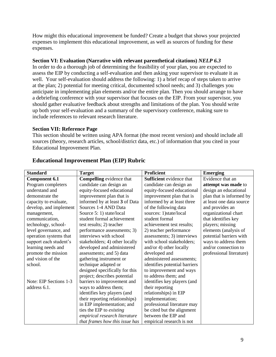How might this educational improvement be funded? Create a budget that shows your projected expenses to implement this educational improvement, as well as sources of funding for these expenses.

#### **Section VI: Evaluation (Narrative with relevant parenthetical citations)** *NELP 6.3*

In order to do a thorough job of determining the feasibility of your plan, you are expected to assess the EIP by conducting a self-evaluation and then asking your supervisor to evaluate it as well. Your self-evaluation should address the following: 1) a brief recap of steps taken to arrive at the plan; 2) potential for meeting critical, documented school needs; and 3) challenges you anticipate in implementing plan elements and/or the entire plan. Then you should arrange to have a debriefing conference with your supervisor that focuses on the EIP. From your supervisor, you should gather evaluative feedback about strengths and limitations of the plan. You should write up both your self-evaluation and a summary of the supervisory conference, making sure to include references to relevant research literature.

#### **Section VII: Reference Page**

This section should be written using APA format (the most recent version) and should include all sources (theory, research articles, school/district data, etc.) of information that you cited in your Educational Improvement Plan.

| <b>Standard</b>        | <b>Target</b>                   | <b>Proficient</b>             | <b>Emerging</b>          |
|------------------------|---------------------------------|-------------------------------|--------------------------|
| <b>Component 6.1</b>   | <b>Compelling</b> evidence that | Sufficient evidence that      | Evidence that an         |
| Program completers     | candidate can design an         | candidate can design an       | attempt was made to      |
| understand and         | equity-focused educational      | equity-focused educational    | design an educational    |
| demonstrate the        | improvement plan that is        | improvement plan that is      | plan that is informed by |
| capacity to evaluate,  | informed by at least 3 of Data  | informed by at least three    | at least one data source |
| develop, and implement | Sources 1-4 AND Data            | of the following data         | and provides an          |
| management,            | Source 5: 1) state/local        | sources: 1)state/local        | organizational chart     |
| communication,         | student formal achievement      | student formal                | that identifies key      |
| technology, school-    | test results; 2) teacher        | achievement test results;     | players; missing         |
| level governance, and  | performance assessments; 3)     | 2) teacher performance        | elements (analysis of    |
| operation systems that | interviews with school          | assessments; 3) interviews    | potential barriers with  |
| support each student's | stakeholders; 4) other locally  | with school stakeholders;     | ways to address them     |
| learning needs and     | developed and administered      | and/or 4) other locally       | and/or connection to     |
| promote the mission    | assessments; and 5) data        | developed and                 | professional literature) |
| and vision of the      | gathering instrument or         | administered assessments;     |                          |
| school.                | technique adapted or            | identifies potential barriers |                          |
|                        | designed specifically for this  | to improvement and ways       |                          |
|                        | project; describes potential    | to address them; and          |                          |
| Note: EIP Sections 1-3 | barriers to improvement and     | identifies key players (and   |                          |
| address 6.1.           | ways to address them;           | their reporting               |                          |
|                        | identifies key players (and     | relationships) in EIP         |                          |
|                        | their reporting relationships)  | implementation;               |                          |
|                        | in EIP implementation; and      | professional literature may   |                          |
|                        | ties the EIP to <i>existing</i> | be cited but the alignment    |                          |
|                        | empirical research literature   | between the EIP and           |                          |
|                        | that frames how this issue has  | empirical research is not     |                          |

#### <span id="page-8-0"></span>**Educational Improvement Plan (EIP) Rubric**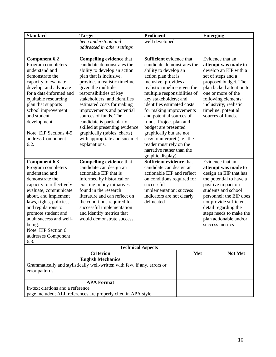| <b>Standard</b>                                     | <b>Target</b>                                                            | <b>Proficient</b>               |  | <b>Emerging</b>                                   |                          |  |
|-----------------------------------------------------|--------------------------------------------------------------------------|---------------------------------|--|---------------------------------------------------|--------------------------|--|
|                                                     | been understood and                                                      | well developed                  |  |                                                   |                          |  |
|                                                     | addressed in other settings                                              |                                 |  |                                                   |                          |  |
|                                                     |                                                                          |                                 |  |                                                   |                          |  |
| <b>Component 6.2</b>                                | <b>Compelling evidence that</b>                                          | <b>Sufficient</b> evidence that |  |                                                   | Evidence that an         |  |
| Program completers                                  | candidate demonstrates the                                               | candidate demonstrates the      |  | attempt was made to                               |                          |  |
| understand and                                      | ability to develop an action                                             | ability to develop an           |  | develop an EIP with a                             |                          |  |
| demonstrate the                                     | plan that is inclusive;                                                  | action plan that is             |  |                                                   | set of steps and a       |  |
| capacity to evaluate,                               | provides a realistic timeline                                            | inclusive; provides a           |  |                                                   | proposed budget. The     |  |
| develop, and advocate                               | given the multiple                                                       | realistic timeline given the    |  |                                                   | plan lacked attention to |  |
| for a data-informed and                             | responsibilities of key                                                  | multiple responsibilities of    |  |                                                   | one or more of the       |  |
| equitable resourcing                                | stakeholders; and identifies                                             | key stakeholders; and           |  |                                                   | following elements:      |  |
| plan that supports                                  | estimated costs for making                                               | identifies estimated costs      |  |                                                   | inclusivity; realistic   |  |
| school improvement                                  | improvements and potential                                               | for making improvements         |  |                                                   | timeline; potential      |  |
| and student                                         | sources of funds. The                                                    | and potential sources of        |  |                                                   | sources of funds.        |  |
| development.                                        | candidate is particularly                                                | funds. Project plan and         |  |                                                   |                          |  |
|                                                     | skilled at presenting evidence                                           | budget are presented            |  |                                                   |                          |  |
| Note: EIP Sections 4-5                              | graphically (tables, charts)                                             | graphically but are not         |  |                                                   |                          |  |
| address Component                                   | with appropriate and succinct                                            | easy to interpret (i.e., the    |  |                                                   |                          |  |
| 6.2.                                                | explanations.                                                            | reader must rely on the         |  |                                                   |                          |  |
|                                                     |                                                                          | narrative rather than the       |  |                                                   |                          |  |
|                                                     |                                                                          | graphic display).               |  |                                                   |                          |  |
| <b>Component 6.3</b>                                | <b>Compelling evidence that</b>                                          | <b>Sufficient evidence that</b> |  |                                                   | Evidence that an         |  |
| Program completers                                  | candidate can design an                                                  | candidate can design an         |  | attempt was made to                               |                          |  |
| understand and                                      | actionable EIP that is                                                   | actionable EIP and reflect      |  | design an EIP that has                            |                          |  |
| demonstrate the                                     | informed by historical or                                                | on conditions required for      |  | the potential to have a                           |                          |  |
| capacity to reflectively                            | existing policy initiatives                                              | successful                      |  | positive impact on                                |                          |  |
| evaluate, communicate                               | found in the research                                                    | implementation; success         |  | students and school                               |                          |  |
| about, and implement                                | literature and can reflect on                                            | indicators are not clearly      |  | personnel; the EIP does                           |                          |  |
| laws, rights, policies,                             | the conditions required for                                              | delineated                      |  | not provide sufficient<br>detail regarding the    |                          |  |
| and regulations to<br>promote student and           | successful implementation<br>and identify metrics that                   |                                 |  |                                                   |                          |  |
| adult success and well-                             | would demonstrate success.                                               |                                 |  | steps needs to make the<br>plan actionable and/or |                          |  |
| being.                                              |                                                                          |                                 |  | success metrics                                   |                          |  |
| Note: EIP Section 6                                 |                                                                          |                                 |  |                                                   |                          |  |
| addresses Component                                 |                                                                          |                                 |  |                                                   |                          |  |
| 6.3.                                                |                                                                          |                                 |  |                                                   |                          |  |
|                                                     |                                                                          |                                 |  |                                                   |                          |  |
| <b>Technical Aspects</b><br><b>Criterion</b><br>Met |                                                                          |                                 |  | Not Met                                           |                          |  |
|                                                     | <b>English Mechanics</b>                                                 |                                 |  |                                                   |                          |  |
|                                                     | Grammatically and stylistically well-written with few, if any, errors or |                                 |  |                                                   |                          |  |
| error patterns.                                     |                                                                          |                                 |  |                                                   |                          |  |
|                                                     |                                                                          |                                 |  |                                                   |                          |  |
|                                                     | <b>APA Format</b>                                                        |                                 |  |                                                   |                          |  |
| In-text citations and a reference                   |                                                                          |                                 |  |                                                   |                          |  |
|                                                     | page included; ALL references are properly cited in APA style            |                                 |  |                                                   |                          |  |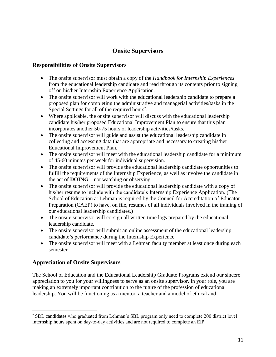# **Onsite Supervisors**

### <span id="page-10-1"></span><span id="page-10-0"></span>**Responsibilities of Onsite Supervisors**

- The onsite supervisor must obtain a copy of the *Handbook for Internship Experiences* from the educational leadership candidate and read through its contents prior to signing off on his/her Internship Experience Application.
- The onsite supervisor will work with the educational leadership candidate to prepare a proposed plan for completing the administrative and managerial activities/tasks in the Special Settings for all of the required hours<sup>\*</sup>.
- Where applicable, the onsite supervisor will discuss with the educational leadership candidate his/her proposed Educational Improvement Plan to ensure that this plan incorporates another 50-75 hours of leadership activities/tasks.
- The onsite supervisor will guide and assist the educational leadership candidate in collecting and accessing data that are appropriate and necessary to creating his/her Educational Improvement Plan.
- The onsite supervisor will meet with the educational leadership candidate for a minimum of 45-60 minutes per week for individual supervision.
- The onsite supervisor will provide the educational leadership candidate opportunities to fulfill the requirements of the Internship Experience, as well as involve the candidate in the act of **DOING** – not watching or observing.
- The onsite supervisor will provide the educational leadership candidate with a copy of his/her resume to include with the candidate's Internship Experience Application. (The School of Education at Lehman is required by the Council for Accreditation of Educator Preparation (CAEP) to have, on file, resumes of all individuals involved in the training of our educational leadership candidates.)
- The onsite supervisor will co-sign all written time logs prepared by the educational leadership candidate.
- The onsite supervisor will submit an online assessment of the educational leadership candidate's performance during the Internship Experience.
- The onsite supervisor will meet with a Lehman faculty member at least once during each semester.

# <span id="page-10-2"></span>**Appreciation of Onsite Supervisors**

 $\overline{a}$ 

The School of Education and the Educational Leadership Graduate Programs extend our sincere appreciation to you for your willingness to serve as an onsite supervisor. In your role, you are making an extremely important contribution to the future of the profession of educational leadership. You will be functioning as a mentor, a teacher and a model of ethical and

<sup>\*</sup> SDL candidates who graduated from Lehman's SBL program only need to complete 200 district level internship hours spent on day-to-day activities and are not required to complete an EIP.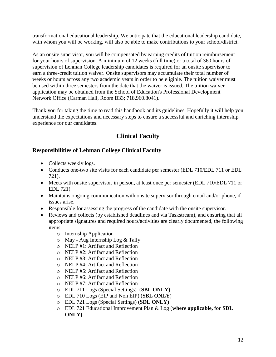transformational educational leadership. We anticipate that the educational leadership candidate, with whom you will be working, will also be able to make contributions to your school/district.

As an onsite supervisor, you will be compensated by earning credits of tuition reimbursement for your hours of supervision. A minimum of 12 weeks (full time) or a total of 360 hours of supervision of Lehman College leadership candidates is required for an onsite supervisor to earn a three-credit tuition waiver. Onsite supervisors may accumulate their total number of weeks or hours across any two academic years in order to be eligible. The tuition waiver must be used within three semesters from the date that the waiver is issued. The tuition waiver application may be obtained from the School of Education's Professional Development Network Office (Carman Hall, Room B33; 718.960.8041).

Thank you for taking the time to read this handbook and its guidelines. Hopefully it will help you understand the expectations and necessary steps to ensure a successful and enriching internship experience for our candidates.

# **Clinical Faculty**

# <span id="page-11-1"></span><span id="page-11-0"></span>**Responsibilities of Lehman College Clinical Faculty**

- Collects weekly logs.
- Conducts one-two site visits for each candidate per semester (EDL 710/EDL 711 or EDL 721).
- Meets with onsite supervisor, in person, at least once per semester (EDL 710/EDL 711 or EDL 721).
- Maintains ongoing communication with onsite supervisor through email and/or phone, if issues arise.
- Responsible for assessing the progress of the candidate with the onsite supervisor.
- Reviews and collects (by established deadlines and via Taskstream), and ensuring that all appropriate signatures and required hours/activities are clearly documented, the following items:
	- o Internship Application
	- o May Aug Internship Log & Tally
	- o NELP #1: Artifact and Reflection
	- o NELP #2: Artifact and Reflection
	- o NELP #3: Artifact and Reflection
	- o NELP #4: Artifact and Reflection
	- o NELP #5: Artifact and Reflection
	- o NELP #6: Artifact and Reflection
	- o NELP #7: Artifact and Reflection
	- o EDL 711 Logs (Special Settings) (**SBL ONLY)**
	- o EDL 710 Logs (EIP and Non EIP) (**SBL ONLY**)
	- o EDL 721 Logs (Special Settings) (**SDL ONLY)**
	- o EDL 721 Educational Improvement Plan & Log (**where applicable, for SDL ONLY)**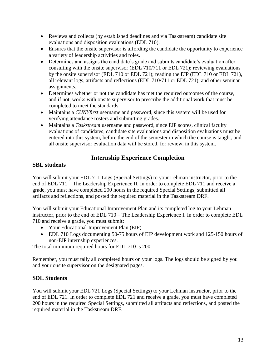- Reviews and collects (by established deadlines and via Taskstream) candidate site evaluations and disposition evaluations (EDL 710).
- Ensures that the onsite supervisor is affording the candidate the opportunity to experience a variety of leadership activities and roles.
- Determines and assigns the candidate's grade and submits candidate's evaluation after consulting with the onsite supervisor (EDL 710/711 or EDL 721); reviewing evaluations by the onsite supervisor (EDL 710 or EDL 721); reading the EIP (EDL 710 or EDL 721), all relevant logs, artifacts and reflections (EDL 710/711 or EDL 721), and other seminar assignments.
- Determines whether or not the candidate has met the required outcomes of the course, and if not, works with onsite supervisor to prescribe the additional work that must be completed to meet the standards.
- Maintains a *CUNYfirst* username and password, since this system will be used for verifying attendance rosters and submitting grades.
- Maintains a *Taskstream* username and password, since EIP scores, clinical faculty evaluations of candidates, candidate site evaluations and disposition evaluations must be entered into this system, before the end of the semester in which the course is taught, and all onsite supervisor evaluation data will be stored, for review, in this system.

# **Internship Experience Completion**

# <span id="page-12-1"></span><span id="page-12-0"></span>**SBL students**

You will submit your EDL 711 Logs (Special Settings) to your Lehman instructor, prior to the end of EDL 711 – The Leadership Experience II. In order to complete EDL 711 and receive a grade, you must have completed 200 hours in the required Special Settings, submitted all artifacts and reflections, and posted the required material in the Taskstream DRF.

You will submit your Educational Improvement Plan and its completed log to your Lehman instructor, prior to the end of EDL 710 – The Leadership Experience I. In order to complete EDL 710 and receive a grade, you must submit:

- Your Educational Improvement Plan (EIP)
- EDL 710 Logs documenting 50-75 hours of EIP development work and 125-150 hours of non-EIP internship experiences.

The total minimum required hours for EDL 710 is 200.

Remember, you must tally all completed hours on your logs. The logs should be signed by you and your onsite supervisor on the designated pages.

# <span id="page-12-2"></span>**SDL Students**

You will submit your EDL 721 Logs (Special Settings) to your Lehman instructor, prior to the end of EDL 721. In order to complete EDL 721 and receive a grade, you must have completed 200 hours in the required Special Settings, submitted all artifacts and reflections, and posted the required material in the Taskstream DRF.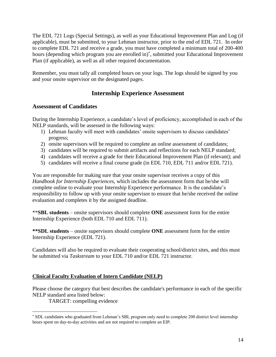The EDL 721 Logs (Special Settings), as well as your Educational Improvement Plan and Log (if applicable), must be submitted, to your Lehman instructor, prior to the end of EDL 721. In order to complete EDL 721 and receive a grade, you must have completed a minimum total of 200-400 hours (depending which program you are enrolled in)<sup>\*</sup>, submitted your Educational Improvement Plan (if applicable), as well as all other required documentation.

Remember, you must tally all completed hours on your logs. The logs should be signed by you and your onsite supervisor on the designated pages.

# **Internship Experience Assessment**

#### <span id="page-13-1"></span><span id="page-13-0"></span>**Assessment of Candidates**

During the Internship Experience, a candidate's level of proficiency, accomplished in each of the NELP standards, will be assessed in the following ways:

- 1) Lehman faculty will meet with candidates' onsite supervisors to discuss candidates' progress;
- 2) onsite supervisors will be required to complete an online assessment of candidates;
- 3) candidates will be required to submit artifacts and reflections for each NELP standard;
- 4) candidates will receive a grade for their Educational Improvement Plan (if relevant); and
- 5) candidates will receive a final course grade (in EDL 710, EDL 711 and/or EDL 721).

You are responsible for making sure that your onsite supervisor receives a copy of this *Handbook for Internship Experiences*, which includes the assessment form that he/she will complete online to evaluate your Internship Experience performance. It is the candidate's responsibility to follow up with your onsite supervisor to ensure that he/she received the online evaluation and completes it by the assigned deadline.

\*\***SBL students** – onsite supervisors should complete **ONE** assessment form for the entire Internship Experience (both EDL 710 and EDL 711).

**\*\*SDL students** – onsite supervisors should complete **ONE** assessment form for the entire Internship Experience (EDL 721).

Candidates will also be required to evaluate their cooperating school/district sites, and this must be submitted via *Taskstream* to your EDL 710 and/or EDL 721 instructor.

# <span id="page-13-2"></span>**Clinical Faculty Evaluation of Intern Candidate (NELP)**

Please choose the category that best describes the candidate's performance in each of the specific NELP standard area listed below:

TARGET: compelling evidence

 $\overline{a}$ 

<sup>\*</sup> SDL candidates who graduated from Lehman's SBL program only need to complete 200 district level internship hours spent on day-to-day activities and are not required to complete an EIP.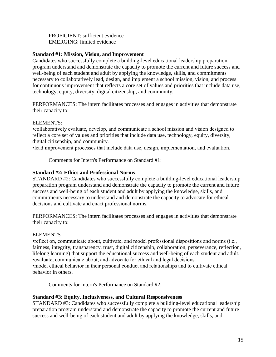PROFICIENT: sufficient evidence EMERGING: limited evidence

#### **Standard #1: Mission, Vision, and Improvement**

Candidates who successfully complete a building-level educational leadership preparation program understand and demonstrate the capacity to promote the current and future success and well-being of each student and adult by applying the knowledge, skills, and commitments necessary to collaboratively lead, design, and implement a school mission, vision, and process for continuous improvement that reflects a core set of values and priorities that include data use, technology, equity, diversity, digital citizenship, and community.

PERFORMANCES: The intern facilitates processes and engages in activities that demonstrate their capacity to:

#### ELEMENTS:

•collaboratively evaluate, develop, and communicate a school mission and vision designed to reflect a core set of values and priorities that include data use, technology, equity, diversity, digital citizenship, and community.

•lead improvement processes that include data use, design, implementation, and evaluation.

Comments for Intern's Performance on Standard #1:

#### **Standard #2: Ethics and Professional Norms**

STANDARD #2: Candidates who successfully complete a building-level educational leadership preparation program understand and demonstrate the capacity to promote the current and future success and well-being of each student and adult by applying the knowledge, skills, and commitments necessary to understand and demonstrate the capacity to advocate for ethical decisions and cultivate and enact professional norms.

PERFORMANCES: The intern facilitates processes and engages in activities that demonstrate their capacity to:

#### ELEMENTS

•reflect on, communicate about, cultivate, and model professional dispositions and norms (i.e., fairness, integrity, transparency, trust, digital citizenship, collaboration, perseverance, reflection, lifelong learning) that support the educational success and well-being of each student and adult. •evaluate, communicate about, and advocate for ethical and legal decisions. •model ethical behavior in their personal conduct and relationships and to cultivate ethical behavior in others.

Comments for Intern's Performance on Standard #2:

#### **Standard #3: Equity, Inclusiveness, and Cultural Responsiveness**

STANDARD #3: Candidates who successfully complete a building-level educational leadership preparation program understand and demonstrate the capacity to promote the current and future success and well-being of each student and adult by applying the knowledge, skills, and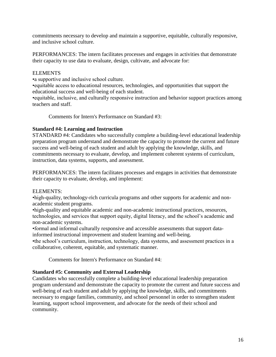commitments necessary to develop and maintain a supportive, equitable, culturally responsive, and inclusive school culture.

PERFORMANCES: The intern facilitates processes and engages in activities that demonstrate their capacity to use data to evaluate, design, cultivate, and advocate for:

#### ELEMENTS

•a supportive and inclusive school culture.

•equitable access to educational resources, technologies, and opportunities that support the educational success and well-being of each student.

•equitable, inclusive, and culturally responsive instruction and behavior support practices among teachers and staff.

Comments for Intern's Performance on Standard #3:

#### **Standard #4: Learning and Instruction**

STANDARD #4: Candidates who successfully complete a building-level educational leadership preparation program understand and demonstrate the capacity to promote the current and future success and well-being of each student and adult by applying the knowledge, skills, and commitments necessary to evaluate, develop, and implement coherent systems of curriculum, instruction, data systems, supports, and assessment.

PERFORMANCES: The intern facilitates processes and engages in activities that demonstrate their capacity to evaluate, develop, and implement:

#### ELEMENTS:

•high-quality, technology-rich curricula programs and other supports for academic and nonacademic student programs.

•high-quality and equitable academic and non-academic instructional practices, resources, technologies, and services that support equity, digital literacy, and the school's academic and non-academic systems.

•formal and informal culturally responsive and accessible assessments that support datainformed instructional improvement and student learning and well-being.

•the school's curriculum, instruction, technology, data systems, and assessment practices in a collaborative, coherent, equitable, and systematic manner.

Comments for Intern's Performance on Standard #4:

#### **Standard #5: Community and External Leadership**

Candidates who successfully complete a building-level educational leadership preparation program understand and demonstrate the capacity to promote the current and future success and well-being of each student and adult by applying the knowledge, skills, and commitments necessary to engage families, community, and school personnel in order to strengthen student learning, support school improvement, and advocate for the needs of their school and community.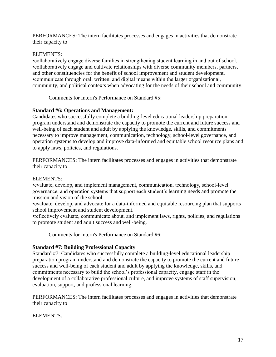PERFORMANCES: The intern facilitates processes and engages in activities that demonstrate their capacity to

#### ELEMENTS:

•collaboratively engage diverse families in strengthening student learning in and out of school. •collaboratively engage and cultivate relationships with diverse community members, partners, and other constituencies for the benefit of school improvement and student development. •communicate through oral, written, and digital means within the larger organizational, community, and political contexts when advocating for the needs of their school and community.

Comments for Intern's Performance on Standard #5:

#### **Standard #6: Operations and Management:**

Candidates who successfully complete a building-level educational leadership preparation program understand and demonstrate the capacity to promote the current and future success and well-being of each student and adult by applying the knowledge, skills, and commitments necessary to improve management, communication, technology, school-level governance, and operation systems to develop and improve data-informed and equitable school resource plans and to apply laws, policies, and regulations.

PERFORMANCES: The intern facilitates processes and engages in activities that demonstrate their capacity to

#### ELEMENTS:

•evaluate, develop, and implement management, communication, technology, school-level governance, and operation systems that support each student's learning needs and promote the mission and vision of the school.

•evaluate, develop, and advocate for a data-informed and equitable resourcing plan that supports school improvement and student development.

•reflectively evaluate, communicate about, and implement laws, rights, policies, and regulations to promote student and adult success and well-being.

Comments for Intern's Performance on Standard #6:

#### **Standard #7: Building Professional Capacity**

Standard #7: Candidates who successfully complete a building-level educational leadership preparation program understand and demonstrate the capacity to promote the current and future success and well-being of each student and adult by applying the knowledge, skills, and commitments necessary to build the school's professional capacity, engage staff in the development of a collaborative professional culture, and improve systems of staff supervision, evaluation, support, and professional learning.

PERFORMANCES: The intern facilitates processes and engages in activities that demonstrate their capacity to

#### ELEMENTS: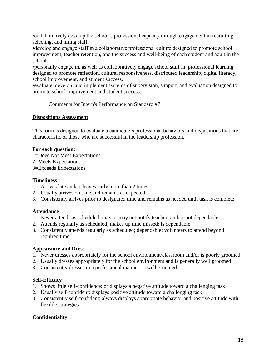•collaboratively develop the school's professional capacity through engagement in recruiting, selecting, and hiring staff.

•develop and engage staff in a collaborative professional culture designed to promote school improvement, teacher retention, and the success and well-being of each student and adult in the school.

•personally engage in, as well as collaboratively engage school staff in, professional learning designed to promote reflection, cultural responsiveness, distributed leadership, digital literacy, school improvement, and student success.

•evaluate, develop, and implement systems of supervision, support, and evaluation designed to promote school improvement and student success.

Comments for Intern's Performance on Standard #7:

#### <span id="page-17-0"></span>**Dispositions Assessment**

This form is designed to evaluate a candidate's professional behaviors and dispositions that are characteristic of those who are successful in the leadership profession.

#### **For each question:**

1=Does Not Meet Expectations 2=Meets Expectations 3=Exceeds Expectations

#### **Timeliness**

- 1. Arrives late and/or leaves early more than 2 times
- 2. Usually arrives on time and remains as expected
- 3. Consistently arrives prior to designated time and remains as needed until task is complete

#### **Attendance**

- 1. Never attends as scheduled; may or may not notify teacher; and/or not dependable
- 2. Attends regularly as scheduled; makes up time missed; is dependable
- 3. Consistently attends regularly as scheduled; dependable; volunteers to attend beyond required time

#### **Appearance and Dress**

- 1. Never dresses appropriately for the school environment/classroom and/or is poorly groomed
- 2. Usually dresses appropriately for the school environment and is generally well groomed
- 3. Consistently dresses in a professional manner; is well groomed

#### **Self-Efficacy**

- 1. Shows little self-confidence; or displays a negative attitude toward a challenging task
- 2. Usually self-confident; displays positive attitude toward a challenging task
- 3. Consistently self-confident; always displays appropriate behavior and positive attitude with flexible strategies

#### **Confidentiality**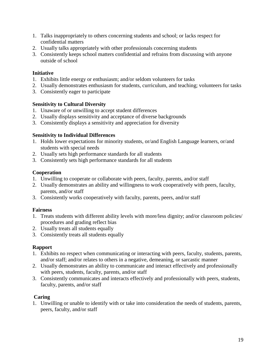- 1. Talks inappropriately to others concerning students and school; or lacks respect for confidential matters
- 2. Usually talks appropriately with other professionals concerning students
- 3. Consistently keeps school matters confidential and refrains from discussing with anyone outside of school

#### **Initiative**

- 1. Exhibits little energy or enthusiasm; and/or seldom volunteers for tasks
- 2. Usually demonstrates enthusiasm for students, curriculum, and teaching; volunteers for tasks
- 3. Consistently eager to participate

#### **Sensitivity to Cultural Diversity**

- 1. Unaware of or unwilling to accept student differences
- 2. Usually displays sensitivity and acceptance of diverse backgrounds
- 3. Consistently displays a sensitivity and appreciation for diversity

#### **Sensitivity to Individual Differences**

- 1. Holds lower expectations for minority students, or/and English Language learners, or/and students with special needs
- 2. Usually sets high performance standards for all students
- 3. Consistently sets high performance standards for all students

#### **Cooperation**

- 1. Unwilling to cooperate or collaborate with peers, faculty, parents, and/or staff
- 2. Usually demonstrates an ability and willingness to work cooperatively with peers, faculty, parents, and/or staff
- 3. Consistently works cooperatively with faculty, parents, peers, and/or staff

#### **Fairness**

- 1. Treats students with different ability levels with more/less dignity; and/or classroom policies/ procedures and grading reflect bias
- 2. Usually treats all students equally
- 3. Consistently treats all students equally

#### **Rapport**

- 1. Exhibits no respect when communicating or interacting with peers, faculty, students, parents, and/or staff; and/or relates to others in a negative, demeaning, or sarcastic manner
- 2. Usually demonstrates an ability to communicate and interact effectively and professionally with peers, students, faculty, parents, and/or staff
- 3. Consistently communicates and interacts effectively and professionally with peers, students, faculty, parents, and/or staff

#### **Caring**

1. Unwilling or unable to identify with or take into consideration the needs of students, parents, peers, faculty, and/or staff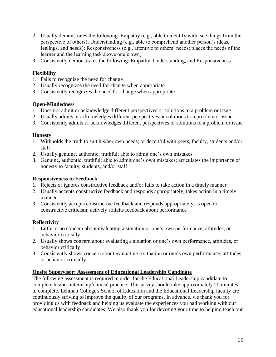- 2. Usually demonstrates the following: Empathy (e.g., able to identify with, see things from the perspective of others); Understanding (e.g., able to comprehend another person's ideas, feelings, and needs); Responsiveness (e.g., attentive to others' needs; places the needs of the learner and the learning task above one's own)
- 3. Consistently demonstrates the following: Empathy, Understanding, and Responsiveness

#### **Flexibility**

- 1. Fails to recognize the need for change
- 2. Usually recognizes the need for change when appropriate
- 3. Consistently recognizes the need for change when appropriate

#### **Open-Mindedness**

- 1. Does not admit or acknowledge different perspectives or solutions to a problem or issue
- 2. Usually admits or acknowledges different perspectives or solutions to a problem or issue
- 3. Consistently admits or acknowledges different perspectives or solutions to a problem or issue

#### **Honesty**

- 1. Withholds the truth to suit his/her own needs; or deceitful with peers, faculty, students and/or staff
- 2. Usually genuine, authentic; truthful; able to admit one's own mistakes
- 3. Genuine, authentic; truthful; able to admit one's own mistakes; articulates the importance of honesty to faculty, students, and/or staff

#### **Responsiveness to Feedback**

- 1. Rejects or ignores constructive feedback and/or fails to take action in a timely manner
- 2. Usually accepts constructive feedback and responds appropriately; takes action in a timely manner
- 3. Consistently accepts constructive feedback and responds appropriately; is open to constructive criticism; actively solicits feedback about performance

#### **Reflectivity**

- 1. Little or no concern about evaluating a situation or one's own performance, attitudes, or behavior critically
- 2. Usually shows concern about evaluating a situation or one's own performance, attitudes, or behavior critically
- 3. Consistently shows concern about evaluating a situation or one's own performance, attitudes, or behavior critically

#### <span id="page-19-0"></span>**Onsite Supervisor: Assessment of Educational Leadership Candidate**

The following assessment is required in order for the Educational Leadership candidate to complete his/her internship/clinical practice. The survey should take approximately 20 minutes to complete. Lehman College's School of Education and the Educational Leadership faculty are continuously striving to improve the quality of our programs. In advance, we thank you for providing us with feedback and helping us evaluate the experiences you had working with our educational leadership candidates. We also thank you for devoting your time to helping teach our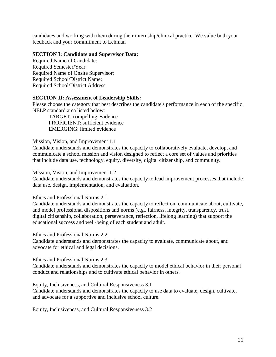candidates and working with them during their internship/clinical practice. We value both your feedback and your commitment to Lehman

#### **SECTION I: Candidate and Supervisor Data:**

Required Name of Candidate: Required Semester/Year: Required Name of Onsite Supervisor: Required School/District Name: Required School/District Address:

#### **SECTION II: Assessment of Leadership Skills:**

Please choose the category that best describes the candidate's performance in each of the specific NELP standard area listed below:

TARGET: compelling evidence PROFICIENT: sufficient evidence EMERGING: limited evidence

#### Mission, Vision, and Improvement 1.1

Candidate understands and demonstrates the capacity to collaboratively evaluate, develop, and communicate a school mission and vision designed to reflect a core set of values and priorities that include data use, technology, equity, diversity, digital citizenship, and community.

#### Mission, Vision, and Improvement 1.2

Candidate understands and demonstrates the capacity to lead improvement processes that include data use, design, implementation, and evaluation.

Ethics and Professional Norms 2.1

Candidate understands and demonstrates the capacity to reflect on, communicate about, cultivate, and model professional dispositions and norms (e.g., fairness, integrity, transparency, trust, digital citizenship, collaboration, perseverance, reflection, lifelong learning) that support the educational success and well-being of each student and adult.

Ethics and Professional Norms 2.2

Candidate understands and demonstrates the capacity to evaluate, communicate about, and advocate for ethical and legal decisions.

Ethics and Professional Norms 2.3

Candidate understands and demonstrates the capacity to model ethical behavior in their personal conduct and relationships and to cultivate ethical behavior in others.

Equity, Inclusiveness, and Cultural Responsiveness 3.1

Candidate understands and demonstrates the capacity to use data to evaluate, design, cultivate, and advocate for a supportive and inclusive school culture.

Equity, Inclusiveness, and Cultural Responsiveness 3.2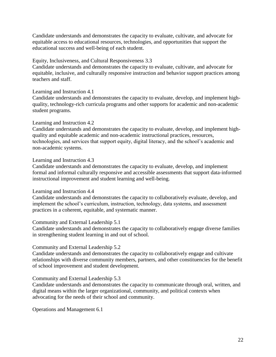Candidate understands and demonstrates the capacity to evaluate, cultivate, and advocate for equitable access to educational resources, technologies, and opportunities that support the educational success and well-being of each student.

#### Equity, Inclusiveness, and Cultural Responsiveness 3.3

Candidate understands and demonstrates the capacity to evaluate, cultivate, and advocate for equitable, inclusive, and culturally responsive instruction and behavior support practices among teachers and staff.

Learning and Instruction 4.1

Candidate understands and demonstrates the capacity to evaluate, develop, and implement highquality, technology-rich curricula programs and other supports for academic and non-academic student programs.

#### Learning and Instruction 4.2

Candidate understands and demonstrates the capacity to evaluate, develop, and implement highquality and equitable academic and non-academic instructional practices, resources, technologies, and services that support equity, digital literacy, and the school's academic and non-academic systems.

#### Learning and Instruction 4.3

Candidate understands and demonstrates the capacity to evaluate, develop, and implement formal and informal culturally responsive and accessible assessments that support data-informed instructional improvement and student learning and well-being.

#### Learning and Instruction 4.4

Candidate understands and demonstrates the capacity to collaboratively evaluate, develop, and implement the school's curriculum, instruction, technology, data systems, and assessment practices in a coherent, equitable, and systematic manner.

#### Community and External Leadership 5.1

Candidate understands and demonstrates the capacity to collaboratively engage diverse families in strengthening student learning in and out of school.

#### Community and External Leadership 5.2

Candidate understands and demonstrates the capacity to collaboratively engage and cultivate relationships with diverse community members, partners, and other constituencies for the benefit of school improvement and student development.

#### Community and External Leadership 5.3

Candidate understands and demonstrates the capacity to communicate through oral, written, and digital means within the larger organizational, community, and political contexts when advocating for the needs of their school and community.

Operations and Management 6.1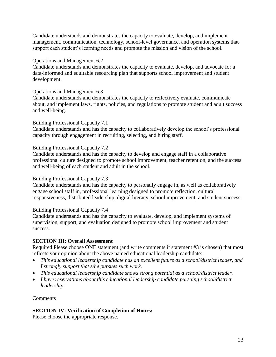Candidate understands and demonstrates the capacity to evaluate, develop, and implement management, communication, technology, school-level governance, and operation systems that support each student's learning needs and promote the mission and vision of the school.

#### Operations and Management 6.2

Candidate understands and demonstrates the capacity to evaluate, develop, and advocate for a data-informed and equitable resourcing plan that supports school improvement and student development.

#### Operations and Management 6.3

Candidate understands and demonstrates the capacity to reflectively evaluate, communicate about, and implement laws, rights, policies, and regulations to promote student and adult success and well-being.

#### Building Professional Capacity 7.1

Candidate understands and has the capacity to collaboratively develop the school's professional capacity through engagement in recruiting, selecting, and hiring staff.

#### Building Professional Capacity 7.2

Candidate understands and has the capacity to develop and engage staff in a collaborative professional culture designed to promote school improvement, teacher retention, and the success and well-being of each student and adult in the school.

#### Building Professional Capacity 7.3

Candidate understands and has the capacity to personally engage in, as well as collaboratively engage school staff in, professional learning designed to promote reflection, cultural responsiveness, distributed leadership, digital literacy, school improvement, and student success.

#### Building Professional Capacity 7.4

Candidate understands and has the capacity to evaluate, develop, and implement systems of supervision, support, and evaluation designed to promote school improvement and student success.

#### **SECTION III: Overall Assessment**

Required Please choose ONE statement (and write comments if statement #3 is chosen) that most reflects your opinion about the above named educational leadership candidate:

- *This educational leadership candidate has an excellent future as a school/district leader, and I strongly support that s/he pursues such work.*
- *This educational leadership candidate shows strong potential as a school/district leader.*
- *I have reservations about this educational leadership candidate pursuing school/district leadership.*

Comments

#### **SECTION IV: Verification of Completion of Hours:**

Please choose the appropriate response.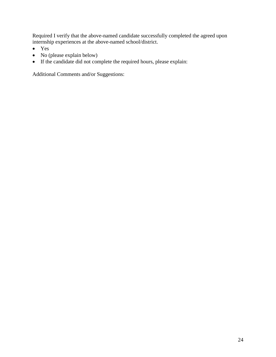Required I verify that the above-named candidate successfully completed the agreed upon internship experiences at the above-named school/district.

- Yes
- No (please explain below)
- If the candidate did not complete the required hours, please explain:

Additional Comments and/or Suggestions: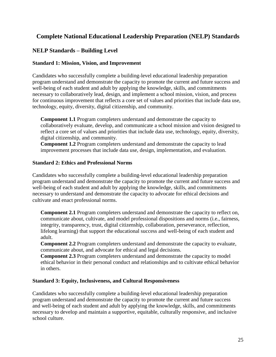# <span id="page-24-0"></span>**Complete National Educational Leadership Preparation (NELP) Standards**

#### <span id="page-24-1"></span>**NELP Standards – Building Level**

#### **Standard 1: Mission, Vision, and Improvement**

Candidates who successfully complete a building-level educational leadership preparation program understand and demonstrate the capacity to promote the current and future success and well-being of each student and adult by applying the knowledge, skills, and commitments necessary to collaboratively lead, design, and implement a school mission, vision, and process for continuous improvement that reflects a core set of values and priorities that include data use, technology, equity, diversity, digital citizenship, and community.

**Component 1.1** Program completers understand and demonstrate the capacity to collaboratively evaluate, develop, and communicate a school mission and vision designed to reflect a core set of values and priorities that include data use, technology, equity, diversity, digital citizenship, and community.

**Component 1.2** Program completers understand and demonstrate the capacity to lead improvement processes that include data use, design, implementation, and evaluation.

#### **Standard 2: Ethics and Professional Norms**

Candidates who successfully complete a building-level educational leadership preparation program understand and demonstrate the capacity to promote the current and future success and well-being of each student and adult by applying the knowledge, skills, and commitments necessary to understand and demonstrate the capacity to advocate for ethical decisions and cultivate and enact professional norms.

**Component 2.1** Program completers understand and demonstrate the capacity to reflect on, communicate about, cultivate, and model professional dispositions and norms (i.e., fairness, integrity, transparency, trust, digital citizenship, collaboration, perseverance, reflection, lifelong learning) that support the educational success and well-being of each student and adult.

**Component 2.2** Program completers understand and demonstrate the capacity to evaluate, communicate about, and advocate for ethical and legal decisions.

**Component 2.3** Program completers understand and demonstrate the capacity to model ethical behavior in their personal conduct and relationships and to cultivate ethical behavior in others.

#### **Standard 3: Equity, Inclusiveness, and Cultural Responsiveness**

Candidates who successfully complete a building-level educational leadership preparation program understand and demonstrate the capacity to promote the current and future success and well-being of each student and adult by applying the knowledge, skills, and commitments necessary to develop and maintain a supportive, equitable, culturally responsive, and inclusive school culture.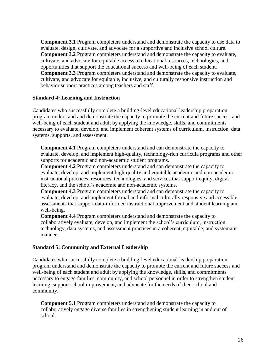**Component 3.1** Program completers understand and demonstrate the capacity to use data to evaluate, design, cultivate, and advocate for a supportive and inclusive school culture. **Component 3.2** Program completers understand and demonstrate the capacity to evaluate, cultivate, and advocate for equitable access to educational resources, technologies, and opportunities that support the educational success and well-being of each student. **Component 3.3** Program completers understand and demonstrate the capacity to evaluate, cultivate, and advocate for equitable, inclusive, and culturally responsive instruction and behavior support practices among teachers and staff.

#### **Standard 4: Learning and Instruction**

Candidates who successfully complete a building-level educational leadership preparation program understand and demonstrate the capacity to promote the current and future success and well-being of each student and adult by applying the knowledge, skills, and commitments necessary to evaluate, develop, and implement coherent systems of curriculum, instruction, data systems, supports, and assessment.

**Component 4.1** Program completers understand and can demonstrate the capacity to evaluate, develop, and implement high-quality, technology-rich curricula programs and other supports for academic and non-academic student programs.

**Component 4.2** Program completers understand and can demonstrate the capacity to evaluate, develop, and implement high-quality and equitable academic and non-academic instructional practices, resources, technologies, and services that support equity, digital literacy, and the school's academic and non-academic systems.

**Component 4.3** Program completers understand and can demonstrate the capacity to evaluate, develop, and implement formal and informal culturally responsive and accessible assessments that support data-informed instructional improvement and student learning and well-being.

**Component 4.4** Program completers understand and demonstrate the capacity to collaboratively evaluate, develop, and implement the school's curriculum, instruction, technology, data systems, and assessment practices in a coherent, equitable, and systematic manner.

#### **Standard 5: Community and External Leadership**

Candidates who successfully complete a building-level educational leadership preparation program understand and demonstrate the capacity to promote the current and future success and well-being of each student and adult by applying the knowledge, skills, and commitments necessary to engage families, community, and school personnel in order to strengthen student learning, support school improvement, and advocate for the needs of their school and community.

**Component 5.1** Program completers understand and demonstrate the capacity to collaboratively engage diverse families in strengthening student learning in and out of school.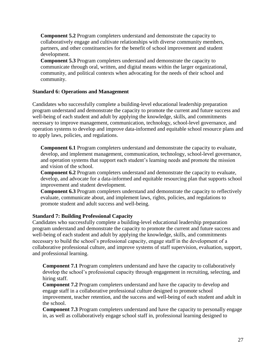**Component 5.2** Program completers understand and demonstrate the capacity to collaboratively engage and cultivate relationships with diverse community members, partners, and other constituencies for the benefit of school improvement and student development.

**Component 5.3** Program completers understand and demonstrate the capacity to communicate through oral, written, and digital means within the larger organizational, community, and political contexts when advocating for the needs of their school and community.

#### **Standard 6: Operations and Management**

Candidates who successfully complete a building-level educational leadership preparation program understand and demonstrate the capacity to promote the current and future success and well-being of each student and adult by applying the knowledge, skills, and commitments necessary to improve management, communication, technology, school-level governance, and operation systems to develop and improve data-informed and equitable school resource plans and to apply laws, policies, and regulations.

**Component 6.1** Program completers understand and demonstrate the capacity to evaluate, develop, and implement management, communication, technology, school-level governance, and operation systems that support each student's learning needs and promote the mission and vision of the school.

**Component 6.2** Program completers understand and demonstrate the capacity to evaluate, develop, and advocate for a data-informed and equitable resourcing plan that supports school improvement and student development.

**Component 6.3** Program completers understand and demonstrate the capacity to reflectively evaluate, communicate about, and implement laws, rights, policies, and regulations to promote student and adult success and well-being.

#### **Standard 7: Building Professional Capacity**

Candidates who successfully complete a building-level educational leadership preparation program understand and demonstrate the capacity to promote the current and future success and well-being of each student and adult by applying the knowledge, skills, and commitments necessary to build the school's professional capacity, engage staff in the development of a collaborative professional culture, and improve systems of staff supervision, evaluation, support, and professional learning.

**Component 7.1** Program completers understand and have the capacity to collaboratively develop the school's professional capacity through engagement in recruiting, selecting, and hiring staff.

**Component 7.2** Program completers understand and have the capacity to develop and engage staff in a collaborative professional culture designed to promote school improvement, teacher retention, and the success and well-being of each student and adult in the school.

**Component 7.3** Program completers understand and have the capacity to personally engage in, as well as collaboratively engage school staff in, professional learning designed to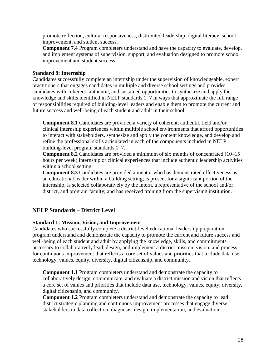promote reflection, cultural responsiveness, distributed leadership, digital literacy, school improvement, and student success.

**Component 7.4** Program completers understand and have the capacity to evaluate, develop, and implement systems of supervision, support, and evaluation designed to promote school improvement and student success.

#### **Standard 8: Internship**

Candidates successfully complete an internship under the supervision of knowledgeable, expert practitioners that engages candidates in multiple and diverse school settings and provides candidates with coherent, authentic, and sustained opportunities to synthesize and apply the knowledge and skills identified in NELP standards 1–7 in ways that approximate the full range of responsibilities required of building-level leaders and enable them to promote the current and future success and well-being of each student and adult in their school.

**Component 8.1** Candidates are provided a variety of coherent, authentic field and/or clinical internship experiences within multiple school environments that afford opportunities to interact with stakeholders, synthesize and apply the content knowledge, and develop and refine the professional skills articulated in each of the components included in NELP building-level program standards 1–7.

**Component 8.2** Candidates are provided a minimum of six months of concentrated (10–15 hours per week) internship or clinical experiences that include authentic leadership activities within a school setting.

**Component 8.3** Candidates are provided a mentor who has demonstrated effectiveness as an educational leader within a building setting; is present for a significant portion of the internship; is selected collaboratively by the intern, a representative of the school and/or district, and program faculty; and has received training from the supervising institution.

#### <span id="page-27-0"></span>**NELP Standards – District Level**

#### **Standard 1: Mission, Vision, and Improvement**

Candidates who successfully complete a district-level educational leadership preparation program understand and demonstrate the capacity to promote the current and future success and well-being of each student and adult by applying the knowledge, skills, and commitments necessary to collaboratively lead, design, and implement a district mission, vision, and process for continuous improvement that reflects a core set of values and priorities that include data use, technology, values, equity, diversity, digital citizenship, and community.

**Component 1.1** Program completers understand and demonstrate the capacity to collaboratively design, communicate, and evaluate a district mission and vision that reflects a core set of values and priorities that include data use, technology, values, equity, diversity, digital citizenship, and community.

**Component 1.2** Program completers understand and demonstrate the capacity to lead district strategic planning and continuous improvement processes that engage diverse stakeholders in data collection, diagnosis, design, implementation, and evaluation.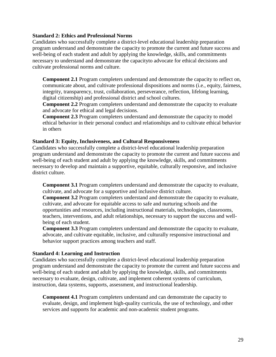#### **Standard 2: Ethics and Professional Norms**

Candidates who successfully complete a district-level educational leadership preparation program understand and demonstrate the capacity to promote the current and future success and well-being of each student and adult by applying the knowledge, skills, and commitments necessary to understand and demonstrate the capacityto advocate for ethical decisions and cultivate professional norms and culture.

**Component 2.1** Program completers understand and demonstrate the capacity to reflect on, communicate about, and cultivate professional dispositions and norms (i.e., equity, fairness, integrity, transparency, trust, collaboration, perseverance, reflection, lifelong learning, digital citizenship) and professional district and school cultures.

**Component 2.2** Program completers understand and demonstrate the capacity to evaluate and advocate for ethical and legal decisions.

**Component 2.3** Program completers understand and demonstrate the capacity to model ethical behavior in their personal conduct and relationships and to cultivate ethical behavior in others

#### **Standard 3: Equity, Inclusiveness, and Cultural Responsiveness**

Candidates who successfully complete a district-level educational leadership preparation program understand and demonstrate the capacity to promote the current and future success and well-being of each student and adult by applying the knowledge, skills, and commitments necessary to develop and maintain a supportive, equitable, culturally responsive, and inclusive district culture.

**Component 3.1** Program completers understand and demonstrate the capacity to evaluate, cultivate, and advocate for a supportive and inclusive district culture.

**Component 3.2** Program completers understand and demonstrate the capacity to evaluate, cultivate, and advocate for equitable access to safe and nurturing schools and the opportunities and resources, including instructional materials, technologies, classrooms, teachers, interventions, and adult relationships, necessary to support the success and wellbeing of each student.

**Component 3.3** Program completers understand and demonstrate the capacity to evaluate, advocate, and cultivate equitable, inclusive, and culturally responsive instructional and behavior support practices among teachers and staff.

#### **Standard 4: Learning and Instruction**

Candidates who successfully complete a district-level educational leadership preparation program understand and demonstrate the capacity to promote the current and future success and well-being of each student and adult by applying the knowledge, skills, and commitments necessary to evaluate, design, cultivate, and implement coherent systems of curriculum, instruction, data systems, supports, assessment, and instructional leadership.

**Component 4.1** Program completers understand and can demonstrate the capacity to evaluate, design, and implement high-quality curricula, the use of technology, and other services and supports for academic and non-academic student programs.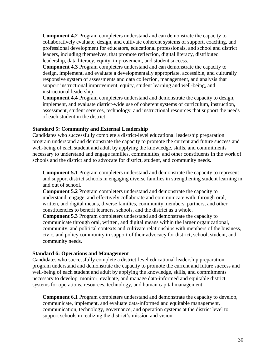**Component 4.2** Program completers understand and can demonstrate the capacity to collaboratively evaluate, design, and cultivate coherent systems of support, coaching, and professional development for educators, educational professionals, and school and district leaders, including themselves, that promote reflection, digital literacy, distributed leadership, data literacy, equity, improvement, and student success.

**Component 4.3** Program completers understand and can demonstrate the capacity to design, implement, and evaluate a developmentally appropriate, accessible, and culturally responsive system of assessments and data collection, management, and analysis that support instructional improvement, equity, student learning and well-being, and instructional leadership.

**Component 4.4** Program completers understand and demonstrate the capacity to design, implement, and evaluate district-wide use of coherent systems of curriculum, instruction, assessment, student services, technology, and instructional resources that support the needs of each student in the district

#### **Standard 5: Community and External Leadership**

Candidates who successfully complete a district-level educational leadership preparation program understand and demonstrate the capacity to promote the current and future success and well-being of each student and adult by applying the knowledge, skills, and commitments necessary to understand and engage families, communities, and other constituents in the work of schools and the district and to advocate for district, student, and community needs.

**Component 5.1** Program completers understand and demonstrate the capacity to represent and support district schools in engaging diverse families in strengthening student learning in and out of school.

**Component 5.2** Program completers understand and demonstrate the capacity to understand, engage, and effectively collaborate and communicate with, through oral, written, and digital means, diverse families, community members, partners, and other constituencies to benefit learners, schools, and the district as a whole.

**Component 5.3** Program completers understand and demonstrate the capacity to communicate through oral, written, and digital means within the larger organizational, community, and political contexts and cultivate relationships with members of the business, civic, and policy community in support of their advocacy for district, school, student, and community needs.

#### **Standard 6: Operations and Management**

Candidates who successfully complete a district-level educational leadership preparation program understand and demonstrate the capacity to promote the current and future success and well-being of each student and adult by applying the knowledge, skills, and commitments necessary to develop, monitor, evaluate, and manage data-informed and equitable district systems for operations, resources, technology, and human capital management.

**Component 6.1** Program completers understand and demonstrate the capacity to develop, communicate, implement, and evaluate data-informed and equitable management, communication, technology, governance, and operation systems at the district level to support schools in realizing the district's mission and vision.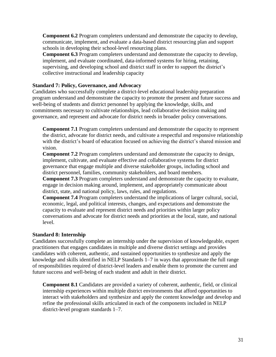**Component 6.2** Program completers understand and demonstrate the capacity to develop, communicate, implement, and evaluate a data-based district resourcing plan and support schools in developing their school-level resourcing plans.

**Component 6.3** Program completers understand and demonstrate the capacity to develop, implement, and evaluate coordinated, data-informed systems for hiring, retaining, supervising, and developing school and district staff in order to support the district's collective instructional and leadership capacity

#### **Standard 7: Policy, Governance, and Advocacy**

Candidates who successfully complete a district-level educational leadership preparation program understand and demonstrate the capacity to promote the present and future success and well-being of students and district personnel by applying the knowledge, skills, and commitments necessary to cultivate relationships, lead collaborative decision making and governance, and represent and advocate for district needs in broader policy conversations.

**Component 7.1** Program completers understand and demonstrate the capacity to represent the district, advocate for district needs, and cultivate a respectful and responsive relationship with the district's board of education focused on achieving the district's shared mission and vision.

**Component 7.2** Program completers understand and demonstrate the capacity to design, implement, cultivate, and evaluate effective and collaborative systems for district governance that engage multiple and diverse stakeholder groups, including school and district personnel, families, community stakeholders, and board members.

**Component 7.3** Program completers understand and demonstrate the capacity to evaluate, engage in decision making around, implement, and appropriately communicate about district, state, and national policy, laws, rules, and regulations.

**Component 7.4** Program completers understand the implications of larger cultural, social, economic, legal, and political interests, changes, and expectations and demonstrate the capacity to evaluate and represent district needs and priorities within larger policy conversations and advocate for district needs and priorities at the local, state, and national level.

#### **Standard 8: Internship**

Candidates successfully complete an internship under the supervision of knowledgeable, expert practitioners that engages candidates in multiple and diverse district settings and provides candidates with coherent, authentic, and sustained opportunities to synthesize and apply the knowledge and skills identified in NELP Standards 1–7 in ways that approximate the full range of responsibilities required of district-level leaders and enable them to promote the current and future success and well-being of each student and adult in their district.

**Component 8.1** Candidates are provided a variety of coherent, authentic, field, or clinical internship experiences within multiple district environments that afford opportunities to interact with stakeholders and synthesize and apply the content knowledge and develop and refine the professional skills articulated in each of the components included in NELP district-level program standards 1–7.